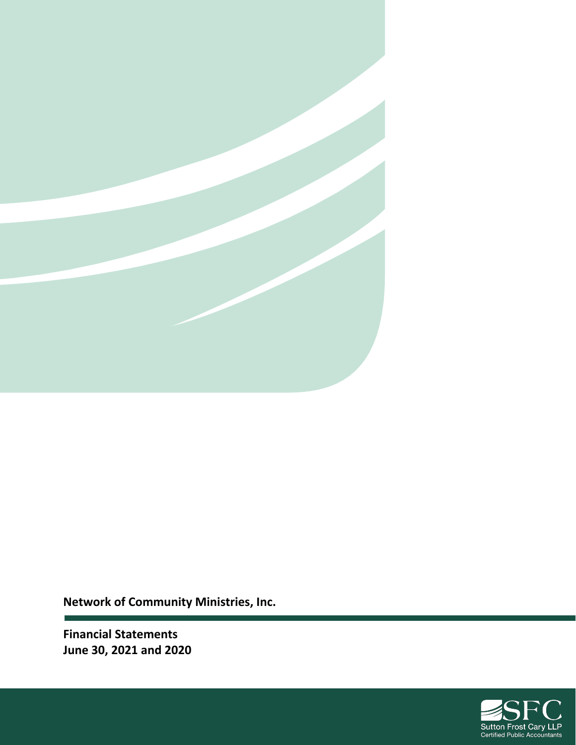

**Network of Community Ministries, Inc.**

**Financial Statements June 30, 2021 and 2020**

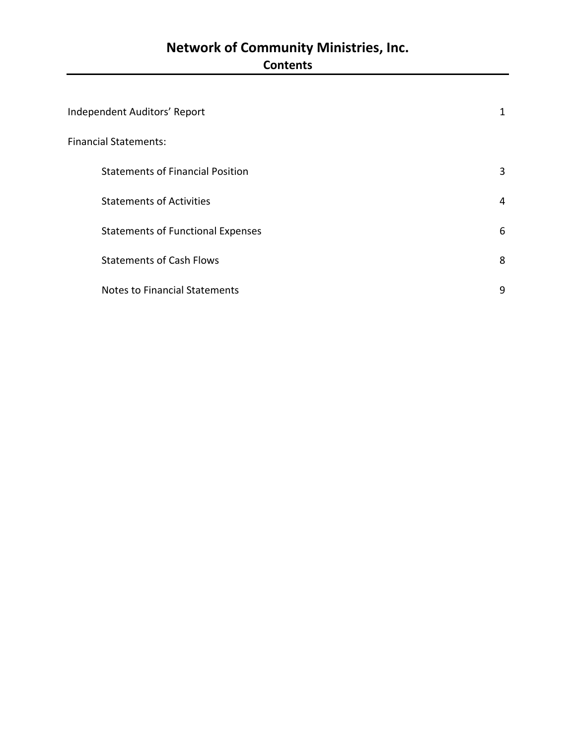## **Network of Community Ministries, Inc. Contents**

| Independent Auditors' Report             | 1 |
|------------------------------------------|---|
| <b>Financial Statements:</b>             |   |
| <b>Statements of Financial Position</b>  | 3 |
| <b>Statements of Activities</b>          | 4 |
| <b>Statements of Functional Expenses</b> | 6 |
| <b>Statements of Cash Flows</b>          | 8 |
| <b>Notes to Financial Statements</b>     | 9 |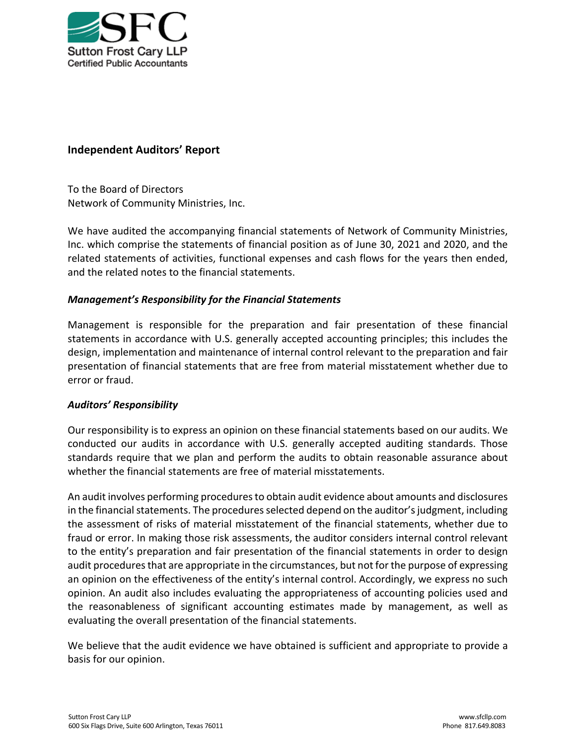

### **Independent Auditors' Report**

To the Board of Directors Network of Community Ministries, Inc.

We have audited the accompanying financial statements of Network of Community Ministries, Inc. which comprise the statements of financial position as of June 30, 2021 and 2020, and the related statements of activities, functional expenses and cash flows for the years then ended, and the related notes to the financial statements.

#### *Management's Responsibility for the Financial Statements*

Management is responsible for the preparation and fair presentation of these financial statements in accordance with U.S. generally accepted accounting principles; this includes the design, implementation and maintenance of internal control relevant to the preparation and fair presentation of financial statements that are free from material misstatement whether due to error or fraud.

#### *Auditors' Responsibility*

Our responsibility is to express an opinion on these financial statements based on our audits. We conducted our audits in accordance with U.S. generally accepted auditing standards. Those standards require that we plan and perform the audits to obtain reasonable assurance about whether the financial statements are free of material misstatements.

An audit involves performing procedures to obtain audit evidence about amounts and disclosures in the financial statements. The procedures selected depend on the auditor's judgment, including the assessment of risks of material misstatement of the financial statements, whether due to fraud or error. In making those risk assessments, the auditor considers internal control relevant to the entity's preparation and fair presentation of the financial statements in order to design audit procedures that are appropriate in the circumstances, but not for the purpose of expressing an opinion on the effectiveness of the entity's internal control. Accordingly, we express no such opinion. An audit also includes evaluating the appropriateness of accounting policies used and the reasonableness of significant accounting estimates made by management, as well as evaluating the overall presentation of the financial statements.

We believe that the audit evidence we have obtained is sufficient and appropriate to provide a basis for our opinion.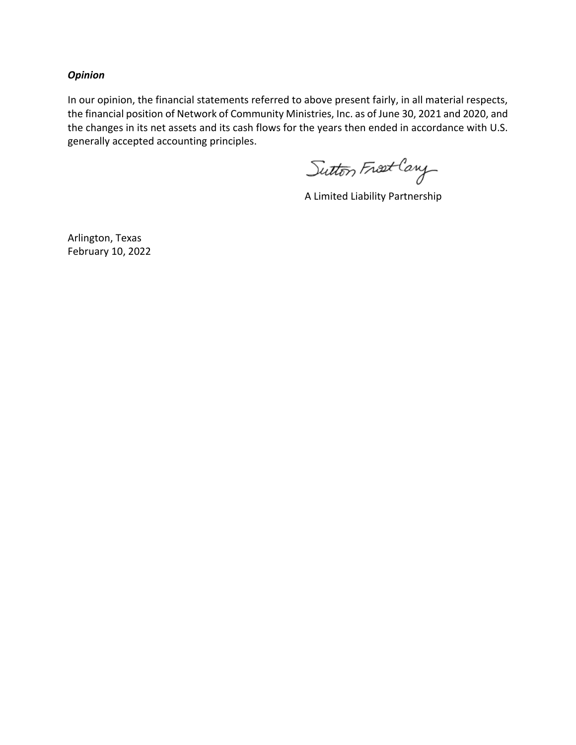#### *Opinion*

In our opinion, the financial statements referred to above present fairly, in all material respects, the financial position of Network of Community Ministries, Inc. as of June 30, 2021 and 2020, and the changes in its net assets and its cash flows for the years then ended in accordance with U.S. generally accepted accounting principles.

Sutton Frost Cary

A Limited Liability Partnership

Arlington, Texas February 10, 2022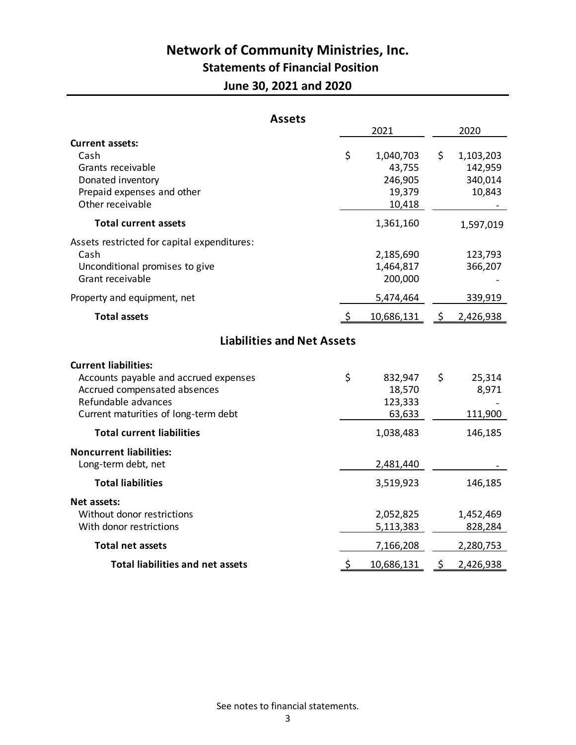# **Network of Community Ministries, Inc.**

## **Statements of Financial Position**

**June 30, 2021 and 2020**

| <b>Assets</b>                                                                                                                                                       |    |                                                    |     |                                           |
|---------------------------------------------------------------------------------------------------------------------------------------------------------------------|----|----------------------------------------------------|-----|-------------------------------------------|
|                                                                                                                                                                     |    | 2021                                               |     | 2020                                      |
| <b>Current assets:</b><br>Cash<br>Grants receivable<br>Donated inventory<br>Prepaid expenses and other<br>Other receivable                                          | \$ | 1,040,703<br>43,755<br>246,905<br>19,379<br>10,418 | \$  | 1,103,203<br>142,959<br>340,014<br>10,843 |
| <b>Total current assets</b>                                                                                                                                         |    | 1,361,160                                          |     | 1,597,019                                 |
| Assets restricted for capital expenditures:<br>Cash<br>Unconditional promises to give<br>Grant receivable                                                           |    | 2,185,690<br>1,464,817<br>200,000                  |     | 123,793<br>366,207                        |
| Property and equipment, net                                                                                                                                         |    | 5,474,464                                          |     | 339,919                                   |
| <b>Total assets</b>                                                                                                                                                 |    | 10,686,131                                         | \$  | 2,426,938                                 |
| <b>Liabilities and Net Assets</b>                                                                                                                                   |    |                                                    |     |                                           |
| <b>Current liabilities:</b><br>Accounts payable and accrued expenses<br>Accrued compensated absences<br>Refundable advances<br>Current maturities of long-term debt | \$ | 832,947<br>18,570<br>123,333<br>63,633             | \$  | 25,314<br>8,971<br>111,900                |
| <b>Total current liabilities</b>                                                                                                                                    |    | 1,038,483                                          |     | 146,185                                   |
| <b>Noncurrent liabilities:</b><br>Long-term debt, net                                                                                                               |    | 2,481,440                                          |     |                                           |
| <b>Total liabilities</b>                                                                                                                                            |    | 3,519,923                                          |     | 146,185                                   |
| Net assets:<br>Without donor restrictions<br>With donor restrictions                                                                                                |    | 2,052,825<br>5,113,383                             |     | 1,452,469<br>828,284                      |
| <b>Total net assets</b>                                                                                                                                             |    | 7,166,208                                          |     | 2,280,753                                 |
| <b>Total liabilities and net assets</b>                                                                                                                             | -S | 10,686,131                                         | \$. | 2,426,938                                 |

See notes to financial statements.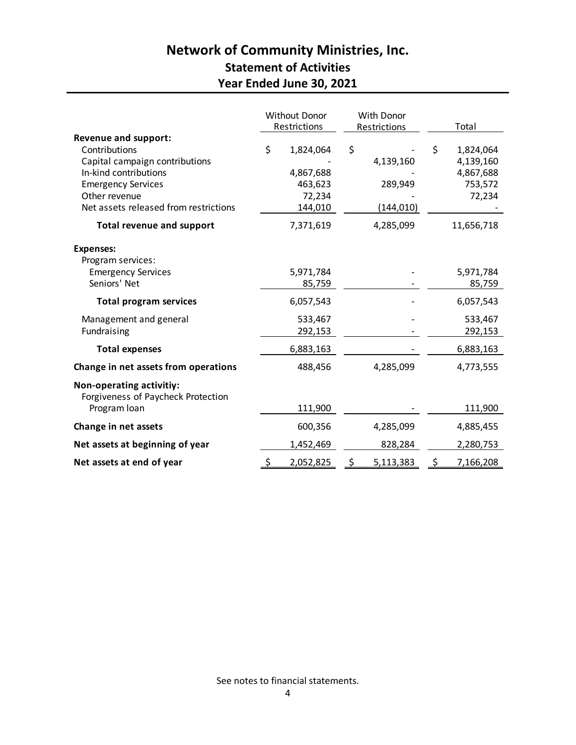## **Network of Community Ministries, Inc. Statement of Activities Year Ended June 30, 2021**

|                                                                                                                                                                                                |          | Without Donor<br>Restrictions                          | With Donor<br>Restrictions |                                    | Total                                                          |
|------------------------------------------------------------------------------------------------------------------------------------------------------------------------------------------------|----------|--------------------------------------------------------|----------------------------|------------------------------------|----------------------------------------------------------------|
| <b>Revenue and support:</b><br>Contributions<br>Capital campaign contributions<br>In-kind contributions<br><b>Emergency Services</b><br>Other revenue<br>Net assets released from restrictions | \$       | 1,824,064<br>4,867,688<br>463,623<br>72,234<br>144,010 | \$                         | 4,139,160<br>289,949<br>(144, 010) | \$<br>1,824,064<br>4,139,160<br>4,867,688<br>753,572<br>72,234 |
| <b>Total revenue and support</b>                                                                                                                                                               |          | 7,371,619                                              |                            | 4,285,099                          | 11,656,718                                                     |
| <b>Expenses:</b><br>Program services:<br><b>Emergency Services</b>                                                                                                                             |          | 5,971,784                                              |                            |                                    | 5,971,784                                                      |
| Seniors' Net                                                                                                                                                                                   |          | 85,759                                                 |                            |                                    | 85,759                                                         |
| <b>Total program services</b>                                                                                                                                                                  |          | 6,057,543                                              |                            |                                    | 6,057,543                                                      |
| Management and general<br>Fundraising                                                                                                                                                          |          | 533,467<br>292,153                                     |                            |                                    | 533,467<br>292,153                                             |
| <b>Total expenses</b>                                                                                                                                                                          |          | 6,883,163                                              |                            |                                    | 6,883,163                                                      |
| Change in net assets from operations                                                                                                                                                           |          | 488,456                                                |                            | 4,285,099                          | 4,773,555                                                      |
| Non-operating activitiy:<br>Forgiveness of Paycheck Protection                                                                                                                                 |          |                                                        |                            |                                    |                                                                |
| Program loan                                                                                                                                                                                   |          | 111,900                                                |                            |                                    | 111,900                                                        |
| Change in net assets                                                                                                                                                                           |          | 600,356                                                |                            | 4,285,099                          | 4,885,455                                                      |
| Net assets at beginning of year                                                                                                                                                                |          | 1,452,469                                              |                            | 828,284                            | 2,280,753                                                      |
| Net assets at end of year                                                                                                                                                                      | <u>ځ</u> | 2,052,825                                              | <u>\$</u>                  | 5,113,383                          | \$<br>7,166,208                                                |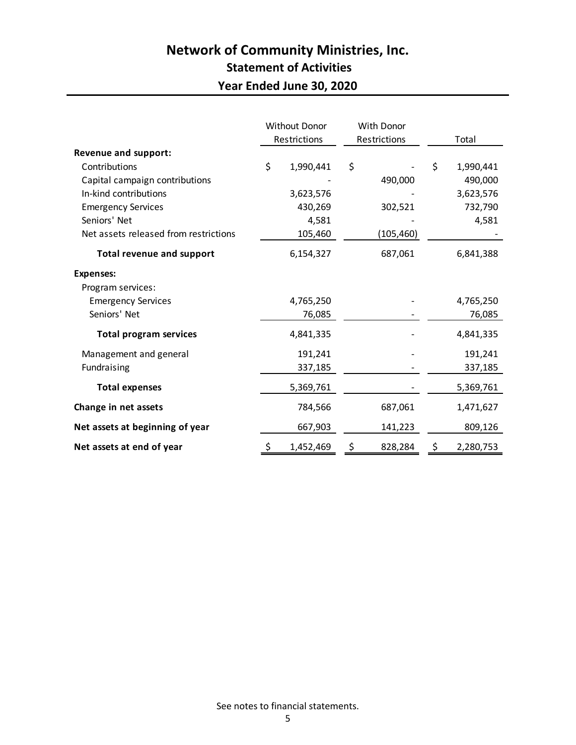## **Network of Community Ministries, Inc. Statement of Activities Year Ended June 30, 2020**

|                                       | Without Donor<br>Restrictions |           | With Donor<br>Restrictions |           | Total           |
|---------------------------------------|-------------------------------|-----------|----------------------------|-----------|-----------------|
| <b>Revenue and support:</b>           |                               |           |                            |           |                 |
| Contributions                         | \$                            | 1,990,441 | \$                         |           | \$<br>1,990,441 |
| Capital campaign contributions        |                               |           |                            | 490,000   | 490,000         |
| In-kind contributions                 |                               | 3,623,576 |                            |           | 3,623,576       |
| <b>Emergency Services</b>             |                               | 430,269   |                            | 302,521   | 732,790         |
| Seniors' Net                          |                               | 4,581     |                            |           | 4,581           |
| Net assets released from restrictions |                               | 105,460   |                            | (105,460) |                 |
| <b>Total revenue and support</b>      |                               | 6,154,327 |                            | 687,061   | 6,841,388       |
| <b>Expenses:</b>                      |                               |           |                            |           |                 |
| Program services:                     |                               |           |                            |           |                 |
| <b>Emergency Services</b>             |                               | 4,765,250 |                            |           | 4,765,250       |
| Seniors' Net                          |                               | 76,085    |                            |           | 76,085          |
| <b>Total program services</b>         |                               | 4,841,335 |                            |           | 4,841,335       |
| Management and general                |                               | 191,241   |                            |           | 191,241         |
| Fundraising                           |                               | 337,185   |                            |           | 337,185         |
| <b>Total expenses</b>                 |                               | 5,369,761 |                            |           | 5,369,761       |
| Change in net assets                  |                               | 784,566   |                            | 687,061   | 1,471,627       |
| Net assets at beginning of year       |                               | 667,903   |                            | 141,223   | 809,126         |
| Net assets at end of year             | \$                            | 1,452,469 | \$                         | 828,284   | \$<br>2,280,753 |

See notes to financial statements.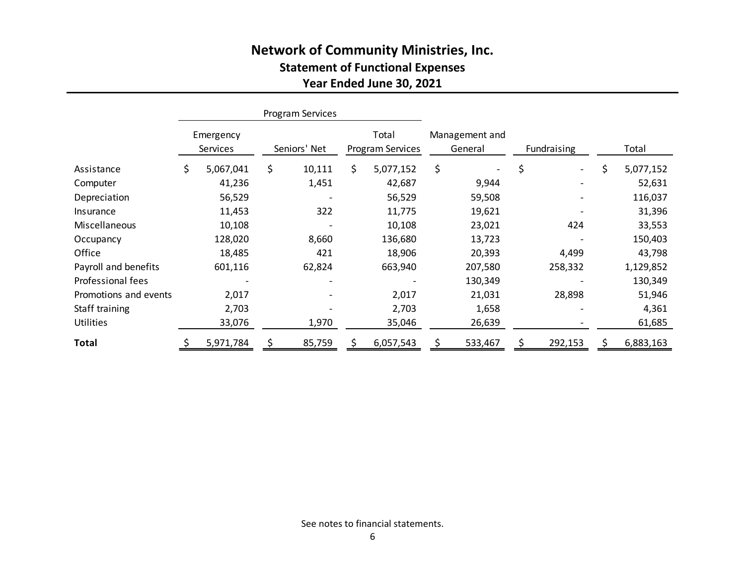## **Network of Community Ministries, Inc. Statement of Functional Expenses Year Ended June 30, 2021**

|                       | Program Services      |           |              |        |    |                           |    |                           |    |             |    |           |
|-----------------------|-----------------------|-----------|--------------|--------|----|---------------------------|----|---------------------------|----|-------------|----|-----------|
|                       | Emergency<br>Services |           | Seniors' Net |        |    | Total<br>Program Services |    | Management and<br>General |    | Fundraising |    | Total     |
| Assistance            | \$                    | 5,067,041 | \$           | 10,111 | Ś. | 5,077,152                 | \$ |                           | \$ |             | \$ | 5,077,152 |
| Computer              |                       | 41,236    |              | 1,451  |    | 42,687                    |    | 9,944                     |    |             |    | 52,631    |
| Depreciation          |                       | 56,529    |              |        |    | 56,529                    |    | 59,508                    |    |             |    | 116,037   |
| Insurance             |                       | 11,453    |              | 322    |    | 11,775                    |    | 19,621                    |    |             |    | 31,396    |
| Miscellaneous         |                       | 10,108    |              |        |    | 10,108                    |    | 23,021                    |    | 424         |    | 33,553    |
| Occupancy             |                       | 128,020   |              | 8,660  |    | 136,680                   |    | 13,723                    |    |             |    | 150,403   |
| Office                |                       | 18,485    |              | 421    |    | 18,906                    |    | 20,393                    |    | 4,499       |    | 43,798    |
| Payroll and benefits  |                       | 601,116   |              | 62,824 |    | 663,940                   |    | 207,580                   |    | 258,332     |    | 1,129,852 |
| Professional fees     |                       |           |              |        |    |                           |    | 130,349                   |    |             |    | 130,349   |
| Promotions and events |                       | 2,017     |              |        |    | 2,017                     |    | 21,031                    |    | 28,898      |    | 51,946    |
| Staff training        |                       | 2,703     |              |        |    | 2,703                     |    | 1,658                     |    |             |    | 4,361     |
| <b>Utilities</b>      |                       | 33,076    |              | 1,970  |    | 35,046                    |    | 26,639                    |    |             |    | 61,685    |
| Total                 |                       | 5,971,784 |              | 85,759 |    | 6,057,543                 |    | 533,467                   |    | 292,153     |    | 6,883,163 |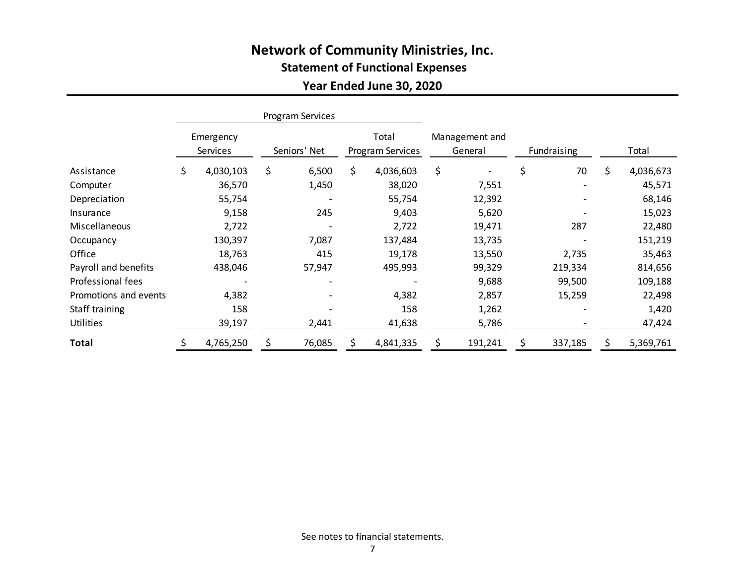## **Network of Community Ministries, Inc. Statement of Functional Expenses**

## **Year Ended June 30, 2020**

|                       | Program Services      |           |              |        |                           |           |                           |         |             |         |                 |
|-----------------------|-----------------------|-----------|--------------|--------|---------------------------|-----------|---------------------------|---------|-------------|---------|-----------------|
|                       | Emergency<br>Services |           | Seniors' Net |        | Total<br>Program Services |           | Management and<br>General |         | Fundraising |         | Total           |
| Assistance            | \$                    | 4,030,103 | \$           | 6,500  | \$.                       | 4,036,603 | \$                        |         | \$          | 70      | \$<br>4,036,673 |
| Computer              |                       | 36,570    |              | 1,450  |                           | 38,020    |                           | 7,551   |             |         | 45,571          |
| Depreciation          |                       | 55,754    |              |        |                           | 55,754    |                           | 12,392  |             |         | 68,146          |
| Insurance             |                       | 9,158     |              | 245    |                           | 9,403     |                           | 5,620   |             |         | 15,023          |
| Miscellaneous         |                       | 2,722     |              |        |                           | 2,722     |                           | 19,471  |             | 287     | 22,480          |
| Occupancy             |                       | 130,397   |              | 7,087  |                           | 137,484   |                           | 13,735  |             |         | 151,219         |
| Office                |                       | 18,763    |              | 415    |                           | 19,178    |                           | 13,550  |             | 2,735   | 35,463          |
| Payroll and benefits  |                       | 438,046   |              | 57,947 |                           | 495,993   |                           | 99,329  |             | 219,334 | 814,656         |
| Professional fees     |                       |           |              |        |                           |           |                           | 9,688   |             | 99,500  | 109,188         |
| Promotions and events |                       | 4,382     |              |        |                           | 4,382     |                           | 2,857   |             | 15,259  | 22,498          |
| Staff training        |                       | 158       |              |        |                           | 158       |                           | 1,262   |             |         | 1,420           |
| <b>Utilities</b>      |                       | 39,197    |              | 2,441  |                           | 41,638    |                           | 5,786   |             |         | 47,424          |
| <b>Total</b>          |                       | 4,765,250 | S            | 76,085 |                           | 4,841,335 |                           | 191,241 |             | 337,185 | 5,369,761       |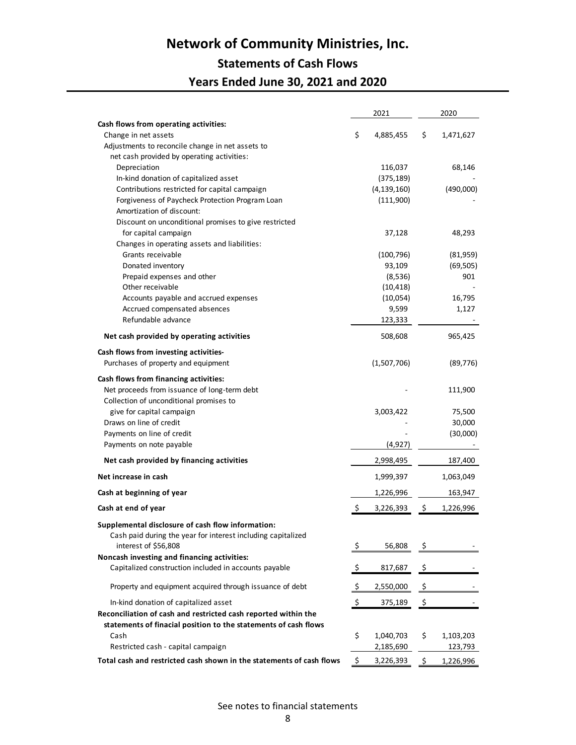# **Network of Community Ministries, Inc.**

## **Statements of Cash Flows Years Ended June 30, 2021 and 2020**

|                                                                      |           | 2021                 | 2020 |                       |  |
|----------------------------------------------------------------------|-----------|----------------------|------|-----------------------|--|
| Cash flows from operating activities:                                |           |                      |      |                       |  |
| Change in net assets                                                 | \$        | 4,885,455            | \$   | 1,471,627             |  |
| Adjustments to reconcile change in net assets to                     |           |                      |      |                       |  |
| net cash provided by operating activities:                           |           |                      |      |                       |  |
| Depreciation                                                         |           | 116,037              |      | 68,146                |  |
| In-kind donation of capitalized asset                                |           | (375, 189)           |      |                       |  |
| Contributions restricted for capital campaign                        |           | (4, 139, 160)        |      | (490,000)             |  |
| Forgiveness of Paycheck Protection Program Loan                      |           | (111,900)            |      |                       |  |
| Amortization of discount:                                            |           |                      |      |                       |  |
| Discount on unconditional promises to give restricted                |           |                      |      |                       |  |
| for capital campaign                                                 |           | 37,128               |      | 48,293                |  |
| Changes in operating assets and liabilities:<br>Grants receivable    |           |                      |      |                       |  |
| Donated inventory                                                    |           | (100, 796)<br>93,109 |      | (81,959)<br>(69, 505) |  |
| Prepaid expenses and other                                           |           | (8,536)              |      | 901                   |  |
| Other receivable                                                     |           | (10, 418)            |      |                       |  |
| Accounts payable and accrued expenses                                |           | (10,054)             |      | 16,795                |  |
| Accrued compensated absences                                         |           | 9,599                |      | 1,127                 |  |
| Refundable advance                                                   |           | 123,333              |      |                       |  |
|                                                                      |           |                      |      |                       |  |
| Net cash provided by operating activities                            |           | 508,608              |      | 965,425               |  |
| Cash flows from investing activities-                                |           |                      |      |                       |  |
| Purchases of property and equipment                                  |           | (1,507,706)          |      | (89, 776)             |  |
| Cash flows from financing activities:                                |           |                      |      |                       |  |
| Net proceeds from issuance of long-term debt                         |           |                      |      | 111,900               |  |
| Collection of unconditional promises to                              |           |                      |      |                       |  |
| give for capital campaign                                            |           | 3,003,422            |      | 75,500                |  |
| Draws on line of credit                                              |           |                      |      | 30,000                |  |
| Payments on line of credit                                           |           |                      |      | (30,000)              |  |
| Payments on note payable                                             |           | (4, 927)             |      |                       |  |
| Net cash provided by financing activities                            |           | 2,998,495            |      | 187,400               |  |
| Net increase in cash                                                 |           | 1,999,397            |      | 1,063,049             |  |
| Cash at beginning of year                                            |           | 1,226,996            |      | 163,947               |  |
| Cash at end of year                                                  | \$        | 3,226,393            | \$   | 1,226,996             |  |
| Supplemental disclosure of cash flow information:                    |           |                      |      |                       |  |
| Cash paid during the year for interest including capitalized         |           |                      |      |                       |  |
| interest of \$56,808                                                 | <u>\$</u> | 56,808               | Ş    |                       |  |
| Noncash investing and financing activities:                          |           |                      |      |                       |  |
| Capitalized construction included in accounts payable                | \$        | 817,687              | -\$  |                       |  |
| Property and equipment acquired through issuance of debt             | \$        | 2,550,000            | \$   |                       |  |
| In-kind donation of capitalized asset                                | <u>ې</u>  | 375,189              | \$   |                       |  |
| Reconciliation of cash and restricted cash reported within the       |           |                      |      |                       |  |
| statements of finacial position to the statements of cash flows      |           |                      |      |                       |  |
| Cash                                                                 | \$        | 1,040,703            | \$   | 1,103,203             |  |
| Restricted cash - capital campaign                                   |           | 2,185,690            |      | 123,793               |  |
| Total cash and restricted cash shown in the statements of cash flows | \$        | 3,226,393            | Ś    | 1,226,996             |  |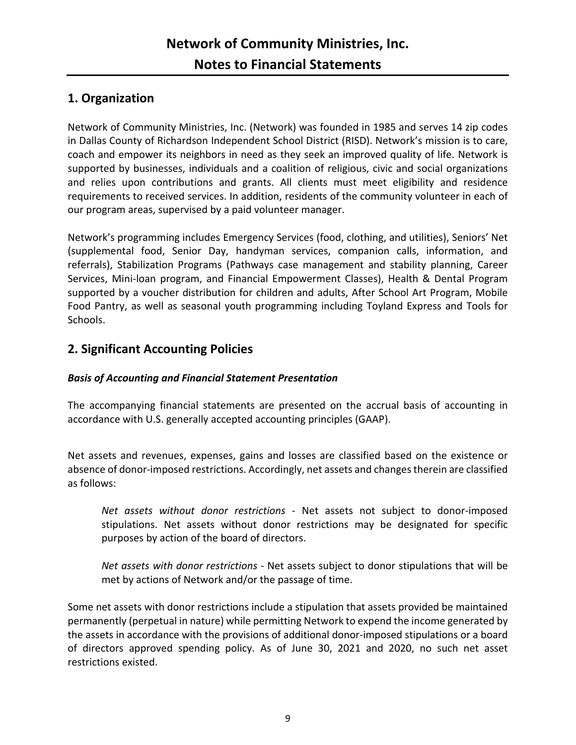## **1. Organization**

Network of Community Ministries, Inc. (Network) was founded in 1985 and serves 14 zip codes in Dallas County of Richardson Independent School District (RISD). Network's mission is to care, coach and empower its neighbors in need as they seek an improved quality of life. Network is supported by businesses, individuals and a coalition of religious, civic and social organizations and relies upon contributions and grants. All clients must meet eligibility and residence requirements to received services. In addition, residents of the community volunteer in each of our program areas, supervised by a paid volunteer manager.

Network's programming includes Emergency Services (food, clothing, and utilities), Seniors' Net (supplemental food, Senior Day, handyman services, companion calls, information, and referrals), Stabilization Programs (Pathways case management and stability planning, Career Services, Mini-loan program, and Financial Empowerment Classes), Health & Dental Program supported by a voucher distribution for children and adults, After School Art Program, Mobile Food Pantry, as well as seasonal youth programming including Toyland Express and Tools for Schools.

## **2. Significant Accounting Policies**

### *Basis of Accounting and Financial Statement Presentation*

The accompanying financial statements are presented on the accrual basis of accounting in accordance with U.S. generally accepted accounting principles (GAAP).

Net assets and revenues, expenses, gains and losses are classified based on the existence or absence of donor-imposed restrictions. Accordingly, net assets and changes therein are classified as follows:

*Net assets without donor restrictions* - Net assets not subject to donor-imposed stipulations. Net assets without donor restrictions may be designated for specific purposes by action of the board of directors.

*Net assets with donor restrictions* - Net assets subject to donor stipulations that will be met by actions of Network and/or the passage of time.

Some net assets with donor restrictions include a stipulation that assets provided be maintained permanently (perpetual in nature) while permitting Network to expend the income generated by the assets in accordance with the provisions of additional donor-imposed stipulations or a board of directors approved spending policy. As of June 30, 2021 and 2020, no such net asset restrictions existed.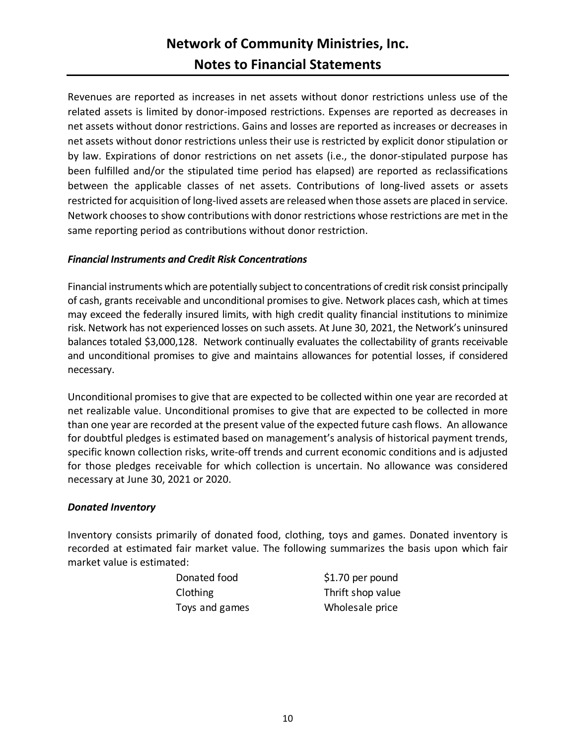## **Network of Community Ministries, Inc. Notes to Financial Statements**

Revenues are reported as increases in net assets without donor restrictions unless use of the related assets is limited by donor-imposed restrictions. Expenses are reported as decreases in net assets without donor restrictions. Gains and losses are reported as increases or decreases in net assets without donor restrictions unless their use is restricted by explicit donor stipulation or by law. Expirations of donor restrictions on net assets (i.e., the donor-stipulated purpose has been fulfilled and/or the stipulated time period has elapsed) are reported as reclassifications between the applicable classes of net assets. Contributions of long-lived assets or assets restricted for acquisition of long-lived assets are released when those assets are placed in service. Network chooses to show contributions with donor restrictions whose restrictions are met in the same reporting period as contributions without donor restriction.

#### *Financial Instruments and Credit Risk Concentrations*

Financial instruments which are potentially subject to concentrations of credit risk consist principally of cash, grants receivable and unconditional promises to give. Network places cash, which at times may exceed the federally insured limits, with high credit quality financial institutions to minimize risk. Network has not experienced losses on such assets. At June 30, 2021, the Network's uninsured balances totaled \$3,000,128. Network continually evaluates the collectability of grants receivable and unconditional promises to give and maintains allowances for potential losses, if considered necessary.

Unconditional promises to give that are expected to be collected within one year are recorded at net realizable value. Unconditional promises to give that are expected to be collected in more than one year are recorded at the present value of the expected future cash flows. An allowance for doubtful pledges is estimated based on management's analysis of historical payment trends, specific known collection risks, write-off trends and current economic conditions and is adjusted for those pledges receivable for which collection is uncertain. No allowance was considered necessary at June 30, 2021 or 2020.

#### *Donated Inventory*

Inventory consists primarily of donated food, clothing, toys and games. Donated inventory is recorded at estimated fair market value. The following summarizes the basis upon which fair market value is estimated:

| Donated food    | \$1.70 per pound  |
|-----------------|-------------------|
| <b>Clothing</b> | Thrift shop value |
| Toys and games  | Wholesale price   |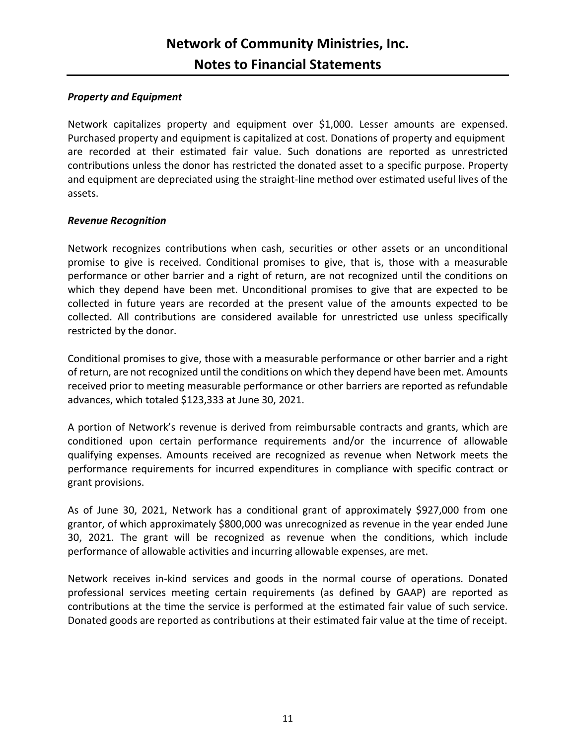#### *Property and Equipment*

Network capitalizes property and equipment over \$1,000. Lesser amounts are expensed. Purchased property and equipment is capitalized at cost. Donations of property and equipment are recorded at their estimated fair value. Such donations are reported as unrestricted contributions unless the donor has restricted the donated asset to a specific purpose. Property and equipment are depreciated using the straight-line method over estimated useful lives of the assets.

#### *Revenue Recognition*

Network recognizes contributions when cash, securities or other assets or an unconditional promise to give is received. Conditional promises to give, that is, those with a measurable performance or other barrier and a right of return, are not recognized until the conditions on which they depend have been met. Unconditional promises to give that are expected to be collected in future years are recorded at the present value of the amounts expected to be collected. All contributions are considered available for unrestricted use unless specifically restricted by the donor.

Conditional promises to give, those with a measurable performance or other barrier and a right of return, are not recognized until the conditions on which they depend have been met. Amounts received prior to meeting measurable performance or other barriers are reported as refundable advances, which totaled \$123,333 at June 30, 2021.

A portion of Network's revenue is derived from reimbursable contracts and grants, which are conditioned upon certain performance requirements and/or the incurrence of allowable qualifying expenses. Amounts received are recognized as revenue when Network meets the performance requirements for incurred expenditures in compliance with specific contract or grant provisions.

As of June 30, 2021, Network has a conditional grant of approximately \$927,000 from one grantor, of which approximately \$800,000 was unrecognized as revenue in the year ended June 30, 2021. The grant will be recognized as revenue when the conditions, which include performance of allowable activities and incurring allowable expenses, are met.

Network receives in-kind services and goods in the normal course of operations. Donated professional services meeting certain requirements (as defined by GAAP) are reported as contributions at the time the service is performed at the estimated fair value of such service. Donated goods are reported as contributions at their estimated fair value at the time of receipt.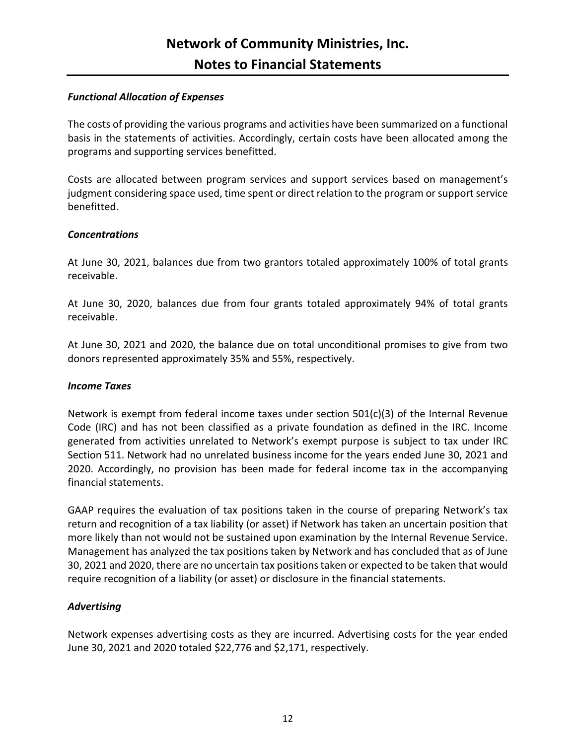#### *Functional Allocation of Expenses*

The costs of providing the various programs and activities have been summarized on a functional basis in the statements of activities. Accordingly, certain costs have been allocated among the programs and supporting services benefitted.

Costs are allocated between program services and support services based on management's judgment considering space used, time spent or direct relation to the program or support service benefitted.

#### *Concentrations*

At June 30, 2021, balances due from two grantors totaled approximately 100% of total grants receivable.

At June 30, 2020, balances due from four grants totaled approximately 94% of total grants receivable.

At June 30, 2021 and 2020, the balance due on total unconditional promises to give from two donors represented approximately 35% and 55%, respectively.

#### *Income Taxes*

Network is exempt from federal income taxes under section 501(c)(3) of the Internal Revenue Code (IRC) and has not been classified as a private foundation as defined in the IRC. Income generated from activities unrelated to Network's exempt purpose is subject to tax under IRC Section 511. Network had no unrelated business income for the years ended June 30, 2021 and 2020. Accordingly, no provision has been made for federal income tax in the accompanying financial statements.

GAAP requires the evaluation of tax positions taken in the course of preparing Network's tax return and recognition of a tax liability (or asset) if Network has taken an uncertain position that more likely than not would not be sustained upon examination by the Internal Revenue Service. Management has analyzed the tax positions taken by Network and has concluded that as of June 30, 2021 and 2020, there are no uncertain tax positions taken or expected to be taken that would require recognition of a liability (or asset) or disclosure in the financial statements.

#### *Advertising*

Network expenses advertising costs as they are incurred. Advertising costs for the year ended June 30, 2021 and 2020 totaled \$22,776 and \$2,171, respectively.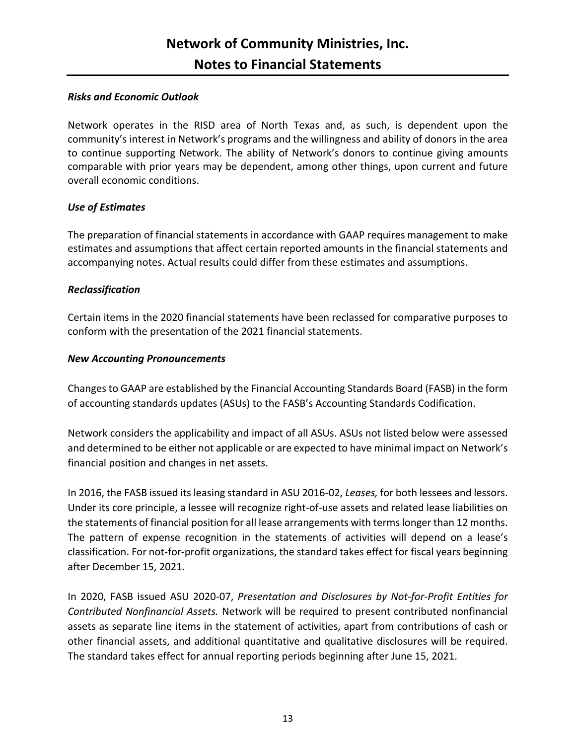#### *Risks and Economic Outlook*

Network operates in the RISD area of North Texas and, as such, is dependent upon the community's interest in Network's programs and the willingness and ability of donors in the area to continue supporting Network. The ability of Network's donors to continue giving amounts comparable with prior years may be dependent, among other things, upon current and future overall economic conditions.

#### *Use of Estimates*

The preparation of financial statements in accordance with GAAP requires management to make estimates and assumptions that affect certain reported amounts in the financial statements and accompanying notes. Actual results could differ from these estimates and assumptions.

#### *Reclassification*

Certain items in the 2020 financial statements have been reclassed for comparative purposes to conform with the presentation of the 2021 financial statements.

#### *New Accounting Pronouncements*

Changes to GAAP are established by the Financial Accounting Standards Board (FASB) in the form of accounting standards updates (ASUs) to the FASB's Accounting Standards Codification.

Network considers the applicability and impact of all ASUs. ASUs not listed below were assessed and determined to be either not applicable or are expected to have minimal impact on Network's financial position and changes in net assets.

In 2016, the FASB issued its leasing standard in ASU 2016-02, *Leases,* for both lessees and lessors. Under its core principle, a lessee will recognize right-of-use assets and related lease liabilities on the statements of financial position for all lease arrangements with terms longer than 12 months. The pattern of expense recognition in the statements of activities will depend on a lease's classification. For not-for-profit organizations, the standard takes effect for fiscal years beginning after December 15, 2021.

In 2020, FASB issued ASU 2020-07, *Presentation and Disclosures by Not-for-Profit Entities for Contributed Nonfinancial Assets.* Network will be required to present contributed nonfinancial assets as separate line items in the statement of activities, apart from contributions of cash or other financial assets, and additional quantitative and qualitative disclosures will be required. The standard takes effect for annual reporting periods beginning after June 15, 2021.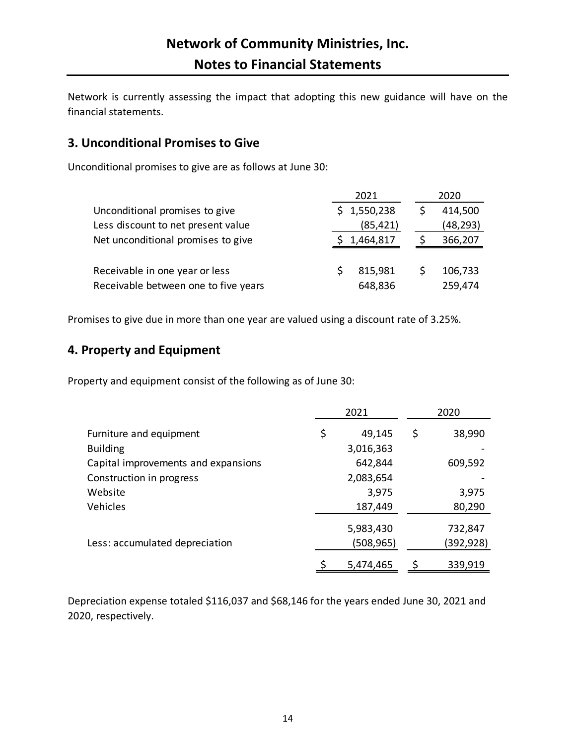Network is currently assessing the impact that adopting this new guidance will have on the financial statements.

## **3. Unconditional Promises to Give**

Unconditional promises to give are as follows at June 30:

|                                      |    | 2021      | 2020     |
|--------------------------------------|----|-----------|----------|
| Unconditional promises to give       | S. | 1,550,238 | 414,500  |
| Less discount to net present value   |    | (85, 421) | (48,293) |
| Net unconditional promises to give   |    | 1,464,817 | 366,207  |
|                                      |    |           |          |
| Receivable in one year or less       |    | 815,981   | 106,733  |
| Receivable between one to five years |    | 648,836   | 259,474  |

Promises to give due in more than one year are valued using a discount rate of 3.25%.

## **4. Property and Equipment**

Property and equipment consist of the following as of June 30:

|                                     | 2021 |                        | 2020                  |
|-------------------------------------|------|------------------------|-----------------------|
| Furniture and equipment             | \$   | 49,145                 | \$<br>38,990          |
| <b>Building</b>                     |      | 3,016,363              |                       |
| Capital improvements and expansions |      | 642,844                | 609,592               |
| Construction in progress            |      | 2,083,654              |                       |
| Website                             |      | 3,975                  | 3,975                 |
| Vehicles                            |      | 187,449                | 80,290                |
| Less: accumulated depreciation      |      | 5,983,430<br>(508,965) | 732,847<br>(392, 928) |
|                                     |      | 5,474,465              | 339,919               |

Depreciation expense totaled \$116,037 and \$68,146 for the years ended June 30, 2021 and 2020, respectively.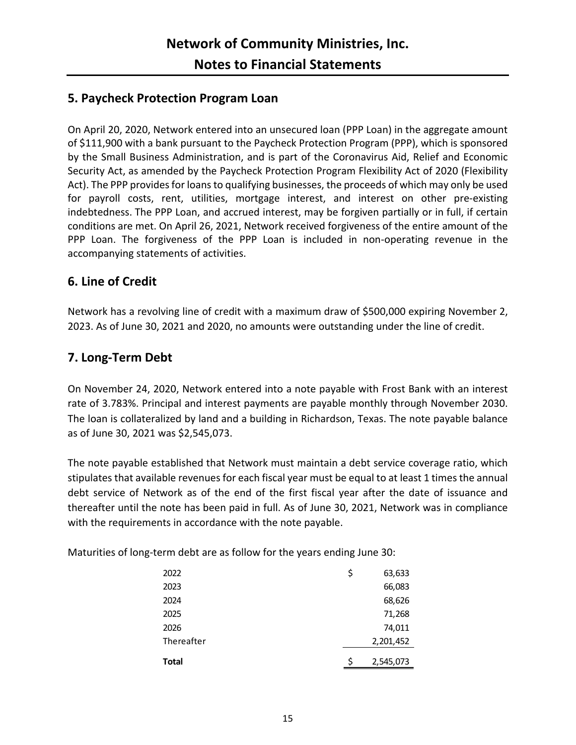### **5. Paycheck Protection Program Loan**

On April 20, 2020, Network entered into an unsecured loan (PPP Loan) in the aggregate amount of \$111,900 with a bank pursuant to the Paycheck Protection Program (PPP), which is sponsored by the Small Business Administration, and is part of the Coronavirus Aid, Relief and Economic Security Act, as amended by the Paycheck Protection Program Flexibility Act of 2020 (Flexibility Act). The PPP provides for loans to qualifying businesses, the proceeds of which may only be used for payroll costs, rent, utilities, mortgage interest, and interest on other pre-existing indebtedness. The PPP Loan, and accrued interest, may be forgiven partially or in full, if certain conditions are met. On April 26, 2021, Network received forgiveness of the entire amount of the PPP Loan. The forgiveness of the PPP Loan is included in non-operating revenue in the accompanying statements of activities.

### **6. Line of Credit**

Network has a revolving line of credit with a maximum draw of \$500,000 expiring November 2, 2023. As of June 30, 2021 and 2020, no amounts were outstanding under the line of credit.

### **7. Long-Term Debt**

On November 24, 2020, Network entered into a note payable with Frost Bank with an interest rate of 3.783%. Principal and interest payments are payable monthly through November 2030. The loan is collateralized by land and a building in Richardson, Texas. The note payable balance as of June 30, 2021 was \$2,545,073.

The note payable established that Network must maintain a debt service coverage ratio, which stipulates that available revenues for each fiscal year must be equal to at least 1 times the annual debt service of Network as of the end of the first fiscal year after the date of issuance and thereafter until the note has been paid in full. As of June 30, 2021, Network was in compliance with the requirements in accordance with the note payable.

Maturities of long-term debt are as follow for the years ending June 30:

| 2022         | \$<br>63,633 |
|--------------|--------------|
| 2023         | 66,083       |
| 2024         | 68,626       |
| 2025         | 71,268       |
| 2026         | 74,011       |
| Thereafter   | 2,201,452    |
| <b>Total</b> | 2,545,073    |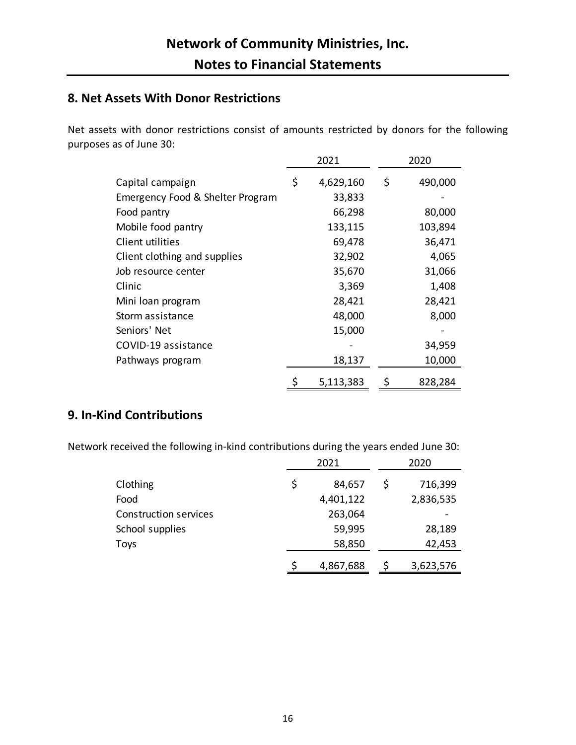## **8. Net Assets With Donor Restrictions**

Net assets with donor restrictions consist of amounts restricted by donors for the following purposes as of June 30:

|                                  | 2021            | 2020          |
|----------------------------------|-----------------|---------------|
| Capital campaign                 | \$<br>4,629,160 | \$<br>490,000 |
| Emergency Food & Shelter Program | 33,833          |               |
| Food pantry                      | 66,298          | 80,000        |
| Mobile food pantry               | 133,115         | 103,894       |
| Client utilities                 | 69,478          | 36,471        |
| Client clothing and supplies     | 32,902          | 4,065         |
| Job resource center              | 35,670          | 31,066        |
| Clinic                           | 3,369           | 1,408         |
| Mini loan program                | 28,421          | 28,421        |
| Storm assistance                 | 48,000          | 8,000         |
| Seniors' Net                     | 15,000          |               |
| COVID-19 assistance              |                 | 34,959        |
| Pathways program                 | 18,137          | 10,000        |
|                                  | 5,113,383       | \$<br>828,284 |

## **9. In-Kind Contributions**

Network received the following in-kind contributions during the years ended June 30:

|                              | 2021            | 2020 |           |
|------------------------------|-----------------|------|-----------|
| Clothing                     | \$<br>84,657    | S    | 716,399   |
| Food                         | 4,401,122       |      | 2,836,535 |
| <b>Construction services</b> | 263,064         |      |           |
| School supplies              | 59,995          |      | 28,189    |
| Toys                         | 58,850          |      | 42,453    |
|                              | \$<br>4,867,688 |      | 3,623,576 |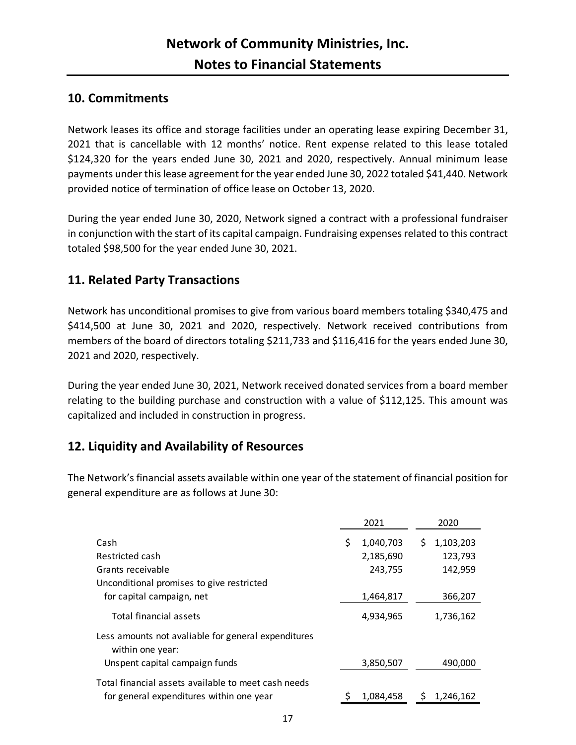### **10. Commitments**

Network leases its office and storage facilities under an operating lease expiring December 31, 2021 that is cancellable with 12 months' notice. Rent expense related to this lease totaled \$124,320 for the years ended June 30, 2021 and 2020, respectively. Annual minimum lease payments under this lease agreement for the year ended June 30, 2022 totaled \$41,440. Network provided notice of termination of office lease on October 13, 2020.

During the year ended June 30, 2020, Network signed a contract with a professional fundraiser in conjunction with the start of its capital campaign. Fundraising expenses related to this contract totaled \$98,500 for the year ended June 30, 2021.

## **11. Related Party Transactions**

Network has unconditional promises to give from various board members totaling \$340,475 and \$414,500 at June 30, 2021 and 2020, respectively. Network received contributions from members of the board of directors totaling \$211,733 and \$116,416 for the years ended June 30, 2021 and 2020, respectively.

During the year ended June 30, 2021, Network received donated services from a board member relating to the building purchase and construction with a value of \$112,125. This amount was capitalized and included in construction in progress.

## **12. Liquidity and Availability of Resources**

The Network's financial assets available within one year of the statement of financial position for general expenditure are as follows at June 30:

|                                                                         | 2021 |           | 2020 |           |
|-------------------------------------------------------------------------|------|-----------|------|-----------|
| Cash                                                                    | \$   | 1,040,703 | S.   | 1,103,203 |
| Restricted cash                                                         |      | 2,185,690 |      | 123,793   |
| Grants receivable                                                       |      | 243,755   |      | 142,959   |
| Unconditional promises to give restricted                               |      |           |      |           |
| for capital campaign, net                                               |      | 1,464,817 |      | 366,207   |
| Total financial assets                                                  |      | 4,934,965 |      | 1,736,162 |
| Less amounts not avaliable for general expenditures<br>within one year: |      |           |      |           |
| Unspent capital campaign funds                                          |      | 3,850,507 |      | 490,000   |
| Total financial assets available to meet cash needs                     |      |           |      |           |
| for general expenditures within one year                                |      | 1,084,458 |      | 1,246,162 |
|                                                                         |      |           |      |           |